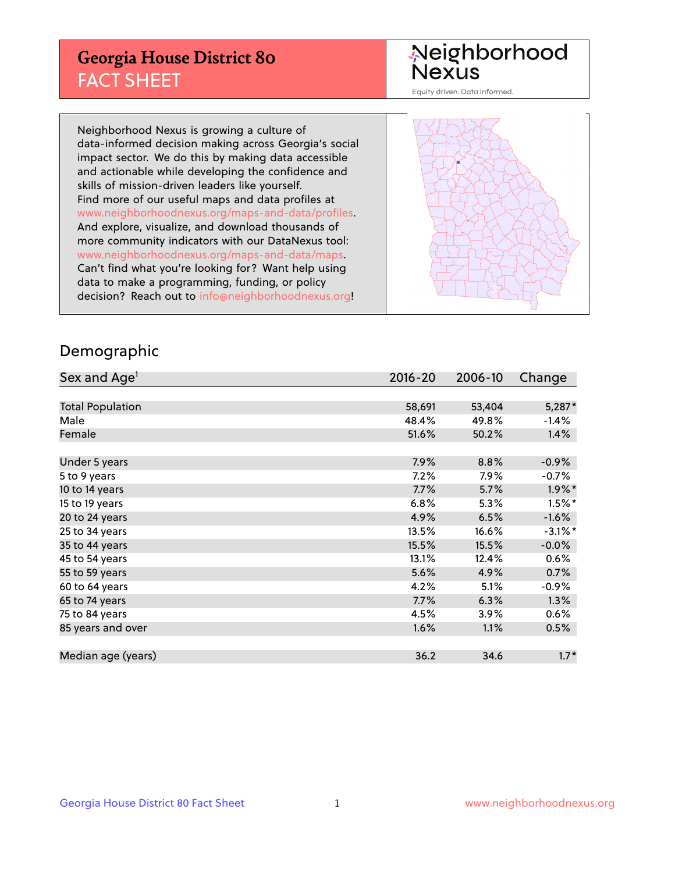## **Georgia House District 80** FACT SHEET

# Neighborhood<br>Nexus

Equity driven. Data informed.

Neighborhood Nexus is growing a culture of data-informed decision making across Georgia's social impact sector. We do this by making data accessible and actionable while developing the confidence and skills of mission-driven leaders like yourself. Find more of our useful maps and data profiles at www.neighborhoodnexus.org/maps-and-data/profiles. And explore, visualize, and download thousands of more community indicators with our DataNexus tool: www.neighborhoodnexus.org/maps-and-data/maps. Can't find what you're looking for? Want help using data to make a programming, funding, or policy decision? Reach out to [info@neighborhoodnexus.org!](mailto:info@neighborhoodnexus.org)



### Demographic

| Sex and Age <sup>1</sup> | $2016 - 20$ | 2006-10 | Change     |
|--------------------------|-------------|---------|------------|
|                          |             |         |            |
| <b>Total Population</b>  | 58,691      | 53,404  | 5,287*     |
| Male                     | 48.4%       | 49.8%   | $-1.4%$    |
| Female                   | 51.6%       | 50.2%   | 1.4%       |
|                          |             |         |            |
| Under 5 years            | 7.9%        | 8.8%    | $-0.9%$    |
| 5 to 9 years             | 7.2%        | $7.9\%$ | $-0.7\%$   |
| 10 to 14 years           | 7.7%        | 5.7%    | $1.9\%$ *  |
| 15 to 19 years           | 6.8%        | 5.3%    | $1.5%$ *   |
| 20 to 24 years           | 4.9%        | 6.5%    | $-1.6%$    |
| 25 to 34 years           | 13.5%       | 16.6%   | $-3.1\%$ * |
| 35 to 44 years           | 15.5%       | 15.5%   | $-0.0%$    |
| 45 to 54 years           | 13.1%       | 12.4%   | 0.6%       |
| 55 to 59 years           | 5.6%        | 4.9%    | 0.7%       |
| 60 to 64 years           | 4.2%        | 5.1%    | $-0.9%$    |
| 65 to 74 years           | 7.7%        | 6.3%    | 1.3%       |
| 75 to 84 years           | 4.5%        | 3.9%    | 0.6%       |
| 85 years and over        | 1.6%        | 1.1%    | 0.5%       |
|                          |             |         |            |
| Median age (years)       | 36.2        | 34.6    | $1.7*$     |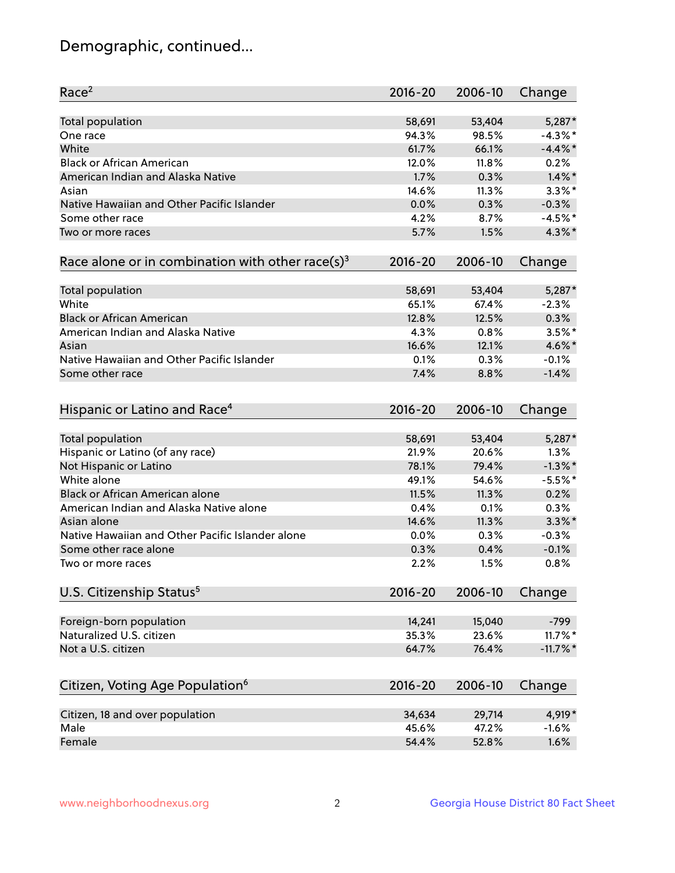## Demographic, continued...

| Race <sup>2</sup>                                            | $2016 - 20$ | 2006-10 | Change      |
|--------------------------------------------------------------|-------------|---------|-------------|
| <b>Total population</b>                                      | 58,691      | 53,404  | 5,287*      |
| One race                                                     | 94.3%       | 98.5%   | $-4.3\%$ *  |
| White                                                        | 61.7%       | 66.1%   | $-4.4\%$ *  |
| <b>Black or African American</b>                             | 12.0%       | 11.8%   | 0.2%        |
| American Indian and Alaska Native                            | 1.7%        | 0.3%    | $1.4\%$ *   |
| Asian                                                        | 14.6%       | 11.3%   | $3.3\%$ *   |
| Native Hawaiian and Other Pacific Islander                   | 0.0%        | 0.3%    | $-0.3%$     |
| Some other race                                              | 4.2%        | 8.7%    | $-4.5%$ *   |
| Two or more races                                            | 5.7%        | 1.5%    | 4.3%*       |
| Race alone or in combination with other race(s) <sup>3</sup> | $2016 - 20$ | 2006-10 | Change      |
| Total population                                             | 58,691      | 53,404  | $5,287*$    |
| White                                                        | 65.1%       | 67.4%   | $-2.3%$     |
| <b>Black or African American</b>                             | 12.8%       | 12.5%   | 0.3%        |
| American Indian and Alaska Native                            | 4.3%        | 0.8%    | $3.5%$ *    |
| Asian                                                        | 16.6%       | 12.1%   | 4.6%*       |
| Native Hawaiian and Other Pacific Islander                   | 0.1%        | 0.3%    | $-0.1%$     |
| Some other race                                              | 7.4%        | 8.8%    | $-1.4%$     |
|                                                              |             |         |             |
| Hispanic or Latino and Race <sup>4</sup>                     | $2016 - 20$ | 2006-10 | Change      |
| Total population                                             | 58,691      | 53,404  | 5,287*      |
| Hispanic or Latino (of any race)                             | 21.9%       | 20.6%   | 1.3%        |
| Not Hispanic or Latino                                       | 78.1%       | 79.4%   | $-1.3\%$ *  |
| White alone                                                  | 49.1%       | 54.6%   | $-5.5%$ *   |
| Black or African American alone                              | 11.5%       | 11.3%   | 0.2%        |
| American Indian and Alaska Native alone                      | 0.4%        | 0.1%    | 0.3%        |
| Asian alone                                                  | 14.6%       | 11.3%   | $3.3\%$ *   |
| Native Hawaiian and Other Pacific Islander alone             | 0.0%        | 0.3%    | $-0.3%$     |
| Some other race alone                                        | 0.3%        | 0.4%    | $-0.1%$     |
| Two or more races                                            | 2.2%        | 1.5%    | 0.8%        |
| U.S. Citizenship Status <sup>5</sup>                         | $2016 - 20$ | 2006-10 | Change      |
|                                                              |             |         |             |
| Foreign-born population                                      | 14,241      | 15,040  | $-799$      |
| Naturalized U.S. citizen                                     | 35.3%       | 23.6%   | $11.7\%$ *  |
| Not a U.S. citizen                                           | 64.7%       | 76.4%   | $-11.7\%$ * |
| Citizen, Voting Age Population <sup>6</sup>                  | $2016 - 20$ | 2006-10 | Change      |
| Citizen, 18 and over population                              | 34,634      | 29,714  | 4,919*      |
| Male                                                         | 45.6%       | 47.2%   | $-1.6%$     |
| Female                                                       | 54.4%       | 52.8%   | 1.6%        |
|                                                              |             |         |             |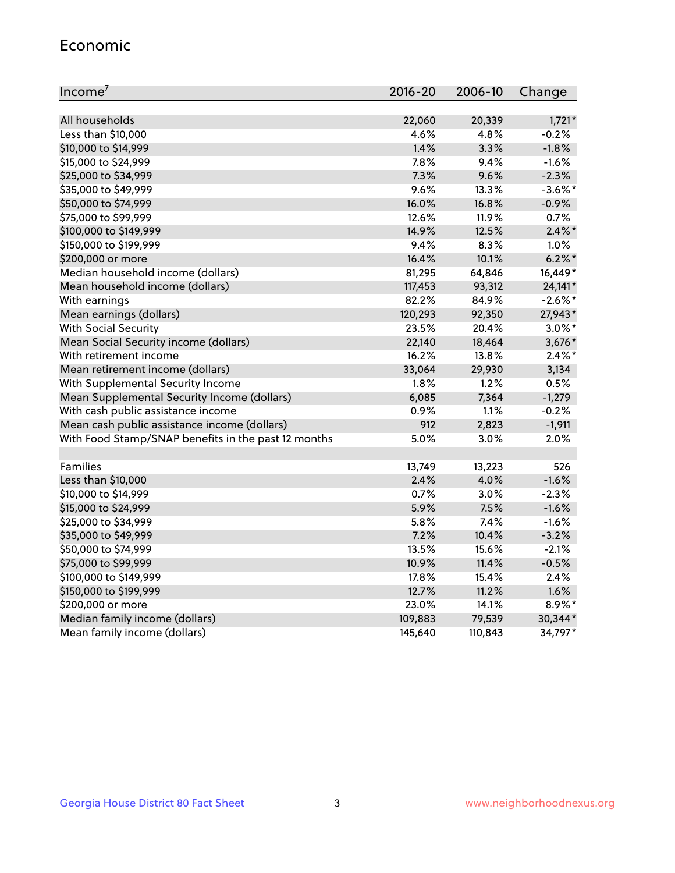#### Economic

| Income <sup>7</sup>                                 | $2016 - 20$ | 2006-10 | Change     |
|-----------------------------------------------------|-------------|---------|------------|
|                                                     |             |         |            |
| All households                                      | 22,060      | 20,339  | $1,721*$   |
| Less than \$10,000                                  | 4.6%        | 4.8%    | $-0.2%$    |
| \$10,000 to \$14,999                                | 1.4%        | 3.3%    | $-1.8%$    |
| \$15,000 to \$24,999                                | 7.8%        | 9.4%    | $-1.6%$    |
| \$25,000 to \$34,999                                | 7.3%        | 9.6%    | $-2.3%$    |
| \$35,000 to \$49,999                                | 9.6%        | 13.3%   | $-3.6\%$ * |
| \$50,000 to \$74,999                                | 16.0%       | 16.8%   | $-0.9%$    |
| \$75,000 to \$99,999                                | 12.6%       | 11.9%   | 0.7%       |
| \$100,000 to \$149,999                              | 14.9%       | 12.5%   | $2.4\%$ *  |
| \$150,000 to \$199,999                              | 9.4%        | 8.3%    | 1.0%       |
| \$200,000 or more                                   | 16.4%       | 10.1%   | $6.2\%$ *  |
| Median household income (dollars)                   | 81,295      | 64,846  | 16,449*    |
| Mean household income (dollars)                     | 117,453     | 93,312  | 24,141*    |
| With earnings                                       | 82.2%       | 84.9%   | $-2.6\%$ * |
| Mean earnings (dollars)                             | 120,293     | 92,350  | 27,943*    |
| <b>With Social Security</b>                         | 23.5%       | 20.4%   | $3.0\%$ *  |
| Mean Social Security income (dollars)               | 22,140      | 18,464  | $3,676*$   |
| With retirement income                              | 16.2%       | 13.8%   | $2.4\%$ *  |
| Mean retirement income (dollars)                    | 33,064      | 29,930  | 3,134      |
| With Supplemental Security Income                   | $1.8\%$     | $1.2\%$ | 0.5%       |
| Mean Supplemental Security Income (dollars)         | 6,085       | 7,364   | $-1,279$   |
| With cash public assistance income                  | 0.9%        | 1.1%    | $-0.2%$    |
| Mean cash public assistance income (dollars)        | 912         | 2,823   | $-1,911$   |
| With Food Stamp/SNAP benefits in the past 12 months | 5.0%        | 3.0%    | 2.0%       |
|                                                     |             |         |            |
| Families                                            | 13,749      | 13,223  | 526        |
| Less than \$10,000                                  | 2.4%        | 4.0%    | $-1.6%$    |
| \$10,000 to \$14,999                                | 0.7%        | 3.0%    | $-2.3%$    |
| \$15,000 to \$24,999                                | 5.9%        | 7.5%    | $-1.6%$    |
| \$25,000 to \$34,999                                | 5.8%        | 7.4%    | $-1.6%$    |
| \$35,000 to \$49,999                                | 7.2%        | 10.4%   | $-3.2%$    |
| \$50,000 to \$74,999                                | 13.5%       | 15.6%   | $-2.1%$    |
| \$75,000 to \$99,999                                | 10.9%       | 11.4%   | $-0.5%$    |
| \$100,000 to \$149,999                              | 17.8%       | 15.4%   | 2.4%       |
| \$150,000 to \$199,999                              | 12.7%       | 11.2%   | 1.6%       |
| \$200,000 or more                                   | 23.0%       | 14.1%   | 8.9%*      |
| Median family income (dollars)                      | 109,883     | 79,539  | 30,344*    |
| Mean family income (dollars)                        | 145,640     | 110,843 | 34,797*    |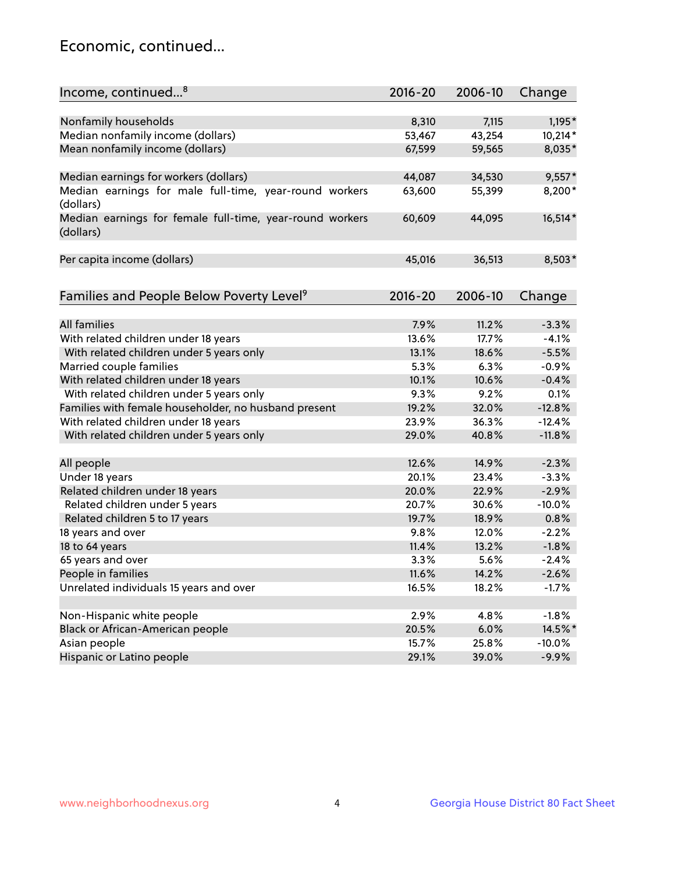## Economic, continued...

| Income, continued <sup>8</sup>                                        | $2016 - 20$ | 2006-10 | Change   |
|-----------------------------------------------------------------------|-------------|---------|----------|
|                                                                       |             |         |          |
| Nonfamily households                                                  | 8,310       | 7,115   | $1,195*$ |
| Median nonfamily income (dollars)                                     | 53,467      | 43,254  | 10,214*  |
| Mean nonfamily income (dollars)                                       | 67,599      | 59,565  | 8,035*   |
| Median earnings for workers (dollars)                                 | 44,087      | 34,530  | $9,557*$ |
| Median earnings for male full-time, year-round workers<br>(dollars)   | 63,600      | 55,399  | 8,200*   |
| Median earnings for female full-time, year-round workers<br>(dollars) | 60,609      | 44,095  | 16,514*  |
| Per capita income (dollars)                                           | 45,016      | 36,513  | 8,503*   |
|                                                                       |             |         |          |
| Families and People Below Poverty Level <sup>9</sup>                  | $2016 - 20$ | 2006-10 | Change   |
| <b>All families</b>                                                   | 7.9%        | 11.2%   | $-3.3%$  |
| With related children under 18 years                                  | 13.6%       | 17.7%   | $-4.1%$  |
| With related children under 5 years only                              | 13.1%       | 18.6%   | $-5.5%$  |
| Married couple families                                               | 5.3%        | 6.3%    | $-0.9%$  |
| With related children under 18 years                                  | 10.1%       | 10.6%   | $-0.4%$  |
| With related children under 5 years only                              | 9.3%        | 9.2%    | 0.1%     |
| Families with female householder, no husband present                  | 19.2%       | 32.0%   | $-12.8%$ |
| With related children under 18 years                                  | 23.9%       | 36.3%   | $-12.4%$ |
| With related children under 5 years only                              | 29.0%       | 40.8%   | $-11.8%$ |
|                                                                       |             |         |          |
| All people                                                            | 12.6%       | 14.9%   | $-2.3%$  |
| Under 18 years                                                        | 20.1%       | 23.4%   | $-3.3%$  |
| Related children under 18 years                                       | 20.0%       | 22.9%   | $-2.9%$  |
| Related children under 5 years                                        | 20.7%       | 30.6%   | $-10.0%$ |
| Related children 5 to 17 years                                        | 19.7%       | 18.9%   | 0.8%     |
| 18 years and over                                                     | 9.8%        | 12.0%   | $-2.2%$  |
| 18 to 64 years                                                        | 11.4%       | 13.2%   | $-1.8%$  |
| 65 years and over                                                     | 3.3%        | 5.6%    | $-2.4%$  |
| People in families                                                    | 11.6%       | 14.2%   | $-2.6%$  |
| Unrelated individuals 15 years and over                               | 16.5%       | 18.2%   | $-1.7%$  |
|                                                                       |             |         |          |
| Non-Hispanic white people                                             | 2.9%        | 4.8%    | $-1.8%$  |
| Black or African-American people                                      | 20.5%       | 6.0%    | 14.5%*   |
| Asian people                                                          | 15.7%       | 25.8%   | $-10.0%$ |
| Hispanic or Latino people                                             | 29.1%       | 39.0%   | $-9.9%$  |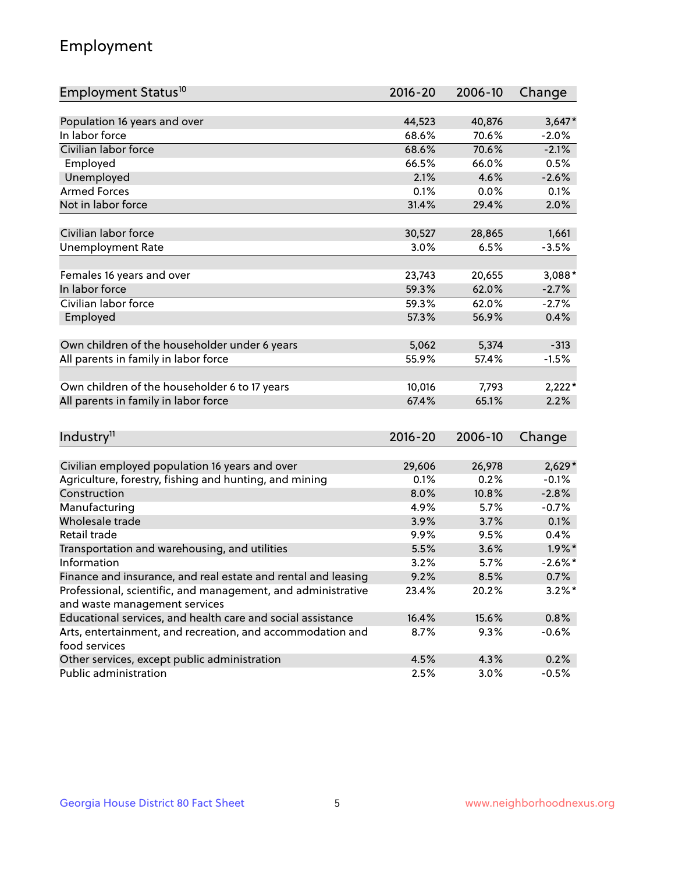## Employment

| Employment Status <sup>10</sup>                                                               | $2016 - 20$  | 2006-10      | Change            |
|-----------------------------------------------------------------------------------------------|--------------|--------------|-------------------|
|                                                                                               |              |              |                   |
| Population 16 years and over                                                                  | 44,523       | 40,876       | $3,647*$          |
| In labor force                                                                                | 68.6%        | 70.6%        | $-2.0%$           |
| Civilian labor force                                                                          | 68.6%        | 70.6%        | $-2.1%$           |
| Employed                                                                                      | 66.5%        | 66.0%        | 0.5%              |
| Unemployed                                                                                    | 2.1%         | 4.6%         | $-2.6%$           |
| <b>Armed Forces</b>                                                                           | 0.1%         | 0.0%         | 0.1%              |
| Not in labor force                                                                            | 31.4%        | 29.4%        | 2.0%              |
|                                                                                               |              |              |                   |
| Civilian labor force                                                                          | 30,527       | 28,865       | 1,661             |
| <b>Unemployment Rate</b>                                                                      | 3.0%         | 6.5%         | $-3.5%$           |
| Females 16 years and over                                                                     | 23,743       | 20,655       | $3,088*$          |
| In labor force                                                                                | 59.3%        | 62.0%        | $-2.7%$           |
| Civilian labor force                                                                          | 59.3%        | 62.0%        | $-2.7%$           |
| Employed                                                                                      | 57.3%        | 56.9%        | 0.4%              |
|                                                                                               |              |              |                   |
| Own children of the householder under 6 years                                                 | 5,062        | 5,374        | $-313$            |
| All parents in family in labor force                                                          | 55.9%        | 57.4%        | $-1.5%$           |
|                                                                                               |              |              |                   |
| Own children of the householder 6 to 17 years                                                 | 10,016       | 7,793        | $2,222*$          |
| All parents in family in labor force                                                          | 67.4%        | 65.1%        | 2.2%              |
|                                                                                               |              |              |                   |
| Industry <sup>11</sup>                                                                        | $2016 - 20$  | 2006-10      | Change            |
|                                                                                               |              |              |                   |
| Civilian employed population 16 years and over                                                | 29,606       | 26,978       | $2,629*$          |
| Agriculture, forestry, fishing and hunting, and mining                                        | 0.1%         | 0.2%         | $-0.1%$           |
| Construction                                                                                  | 8.0%         | 10.8%        | $-2.8%$           |
| Manufacturing<br>Wholesale trade                                                              | 4.9%         | 5.7%         | $-0.7%$           |
| Retail trade                                                                                  | 3.9%         | 3.7%         | 0.1%              |
|                                                                                               | 9.9%<br>5.5% | 9.5%<br>3.6% | 0.4%<br>$1.9\%$ * |
| Transportation and warehousing, and utilities<br>Information                                  |              |              | $-2.6\%$ *        |
|                                                                                               | 3.2%<br>9.2% | 5.7%<br>8.5% | 0.7%              |
| Finance and insurance, and real estate and rental and leasing                                 |              |              | $3.2\%$ *         |
| Professional, scientific, and management, and administrative<br>and waste management services | 23.4%        | 20.2%        |                   |
| Educational services, and health care and social assistance                                   | 16.4%        | 15.6%        | 0.8%              |
| Arts, entertainment, and recreation, and accommodation and                                    | 8.7%         | 9.3%         | $-0.6%$           |
| food services                                                                                 |              |              |                   |
| Other services, except public administration                                                  | 4.5%         | 4.3%         | 0.2%              |
| Public administration                                                                         | 2.5%         | 3.0%         | $-0.5%$           |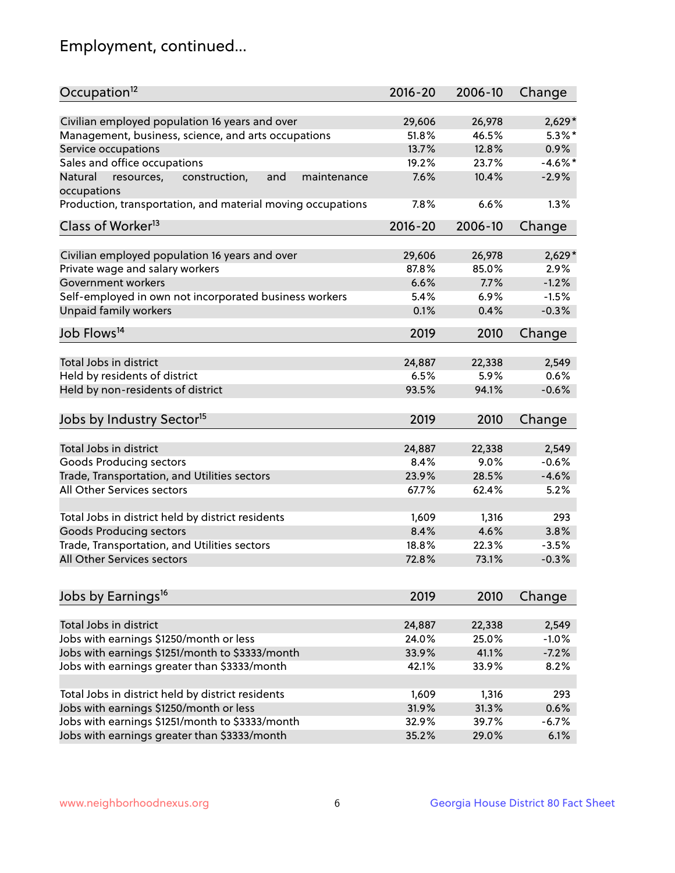## Employment, continued...

| Occupation <sup>12</sup>                                     | $2016 - 20$ | 2006-10 | Change     |
|--------------------------------------------------------------|-------------|---------|------------|
| Civilian employed population 16 years and over               | 29,606      | 26,978  | $2,629*$   |
| Management, business, science, and arts occupations          | 51.8%       | 46.5%   | $5.3\%$ *  |
| Service occupations                                          | 13.7%       | 12.8%   | 0.9%       |
| Sales and office occupations                                 | 19.2%       | 23.7%   | $-4.6\%$ * |
| Natural<br>and<br>resources,<br>construction,<br>maintenance | 7.6%        | 10.4%   | $-2.9%$    |
| occupations                                                  |             |         |            |
| Production, transportation, and material moving occupations  | 7.8%        | 6.6%    | 1.3%       |
| Class of Worker <sup>13</sup>                                | $2016 - 20$ | 2006-10 | Change     |
|                                                              |             |         |            |
| Civilian employed population 16 years and over               | 29,606      | 26,978  | $2,629*$   |
| Private wage and salary workers                              | 87.8%       | 85.0%   | 2.9%       |
| Government workers                                           | 6.6%        | 7.7%    | $-1.2%$    |
| Self-employed in own not incorporated business workers       | 5.4%        | 6.9%    | $-1.5%$    |
| Unpaid family workers                                        | 0.1%        | 0.4%    | $-0.3%$    |
| Job Flows <sup>14</sup>                                      | 2019        | 2010    | Change     |
|                                                              |             |         |            |
| Total Jobs in district                                       | 24,887      | 22,338  | 2,549      |
| Held by residents of district                                | 6.5%        | 5.9%    | 0.6%       |
| Held by non-residents of district                            | 93.5%       | 94.1%   | $-0.6%$    |
| Jobs by Industry Sector <sup>15</sup>                        | 2019        | 2010    | Change     |
|                                                              |             |         |            |
| Total Jobs in district                                       | 24,887      | 22,338  | 2,549      |
| Goods Producing sectors                                      | 8.4%        | 9.0%    | $-0.6%$    |
| Trade, Transportation, and Utilities sectors                 | 23.9%       | 28.5%   | $-4.6%$    |
| All Other Services sectors                                   | 67.7%       | 62.4%   | 5.2%       |
|                                                              |             |         |            |
| Total Jobs in district held by district residents            | 1,609       | 1,316   | 293        |
| <b>Goods Producing sectors</b>                               | 8.4%        | 4.6%    | 3.8%       |
| Trade, Transportation, and Utilities sectors                 | 18.8%       | 22.3%   | $-3.5%$    |
| All Other Services sectors                                   | 72.8%       | 73.1%   | $-0.3%$    |
| Jobs by Earnings <sup>16</sup>                               | 2019        | 2010    |            |
|                                                              |             |         | Change     |
| Total Jobs in district                                       | 24,887      | 22,338  | 2,549      |
| Jobs with earnings \$1250/month or less                      | 24.0%       | 25.0%   | $-1.0%$    |
| Jobs with earnings \$1251/month to \$3333/month              | 33.9%       | 41.1%   | $-7.2%$    |
| Jobs with earnings greater than \$3333/month                 | 42.1%       | 33.9%   | 8.2%       |
|                                                              |             |         |            |
| Total Jobs in district held by district residents            | 1,609       | 1,316   | 293        |
| Jobs with earnings \$1250/month or less                      | 31.9%       | 31.3%   | 0.6%       |
| Jobs with earnings \$1251/month to \$3333/month              | 32.9%       | 39.7%   | $-6.7%$    |
| Jobs with earnings greater than \$3333/month                 | 35.2%       | 29.0%   | 6.1%       |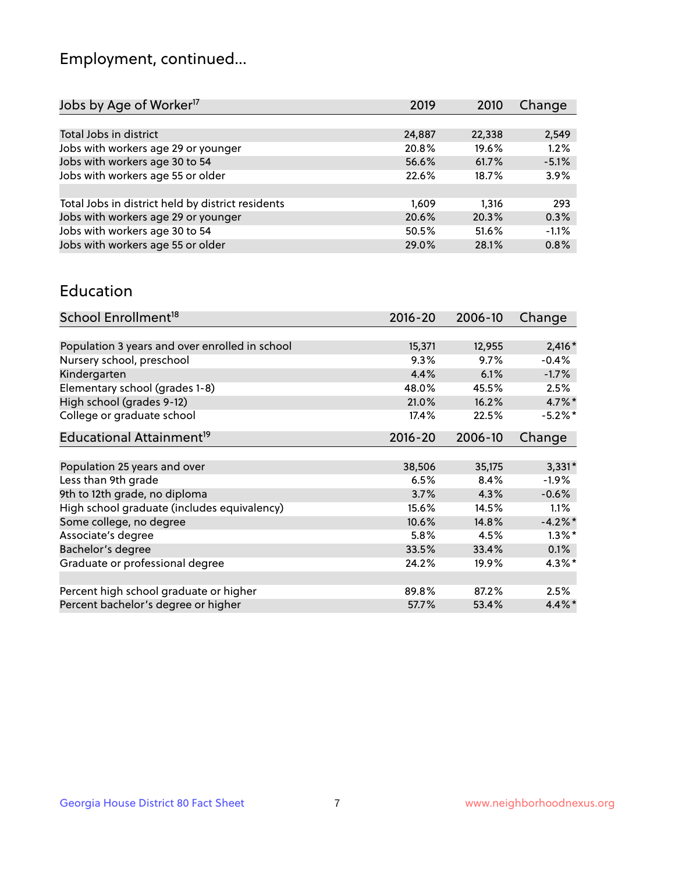## Employment, continued...

| 2019   | 2010  | Change          |
|--------|-------|-----------------|
|        |       |                 |
| 24,887 |       | 2,549           |
| 20.8%  | 19.6% | 1.2%            |
| 56.6%  | 61.7% | $-5.1%$         |
| 22.6%  | 18.7% | 3.9%            |
|        |       |                 |
| 1,609  | 1.316 | 293             |
| 20.6%  |       | 0.3%            |
| 50.5%  | 51.6% | $-1.1%$         |
| 29.0%  | 28.1% | 0.8%            |
|        |       | 22,338<br>20.3% |

#### Education

| School Enrollment <sup>18</sup>                | $2016 - 20$ | 2006-10 | Change    |
|------------------------------------------------|-------------|---------|-----------|
|                                                |             |         |           |
| Population 3 years and over enrolled in school | 15,371      | 12,955  | $2,416*$  |
| Nursery school, preschool                      | 9.3%        | 9.7%    | $-0.4%$   |
| Kindergarten                                   | 4.4%        | 6.1%    | $-1.7%$   |
| Elementary school (grades 1-8)                 | 48.0%       | 45.5%   | 2.5%      |
| High school (grades 9-12)                      | 21.0%       | 16.2%   | $4.7\%$ * |
| College or graduate school                     | 17.4%       | 22.5%   | $-5.2%$ * |
| Educational Attainment <sup>19</sup>           | $2016 - 20$ | 2006-10 | Change    |
|                                                |             |         |           |
| Population 25 years and over                   | 38,506      | 35,175  | $3,331*$  |
| Less than 9th grade                            | 6.5%        | 8.4%    | $-1.9\%$  |
| 9th to 12th grade, no diploma                  | 3.7%        | 4.3%    | $-0.6%$   |
| High school graduate (includes equivalency)    | 15.6%       | 14.5%   | $1.1\%$   |
| Some college, no degree                        | 10.6%       | 14.8%   | $-4.2%$   |
| Associate's degree                             | 5.8%        | 4.5%    | $1.3\%$ * |
| Bachelor's degree                              | 33.5%       | 33.4%   | $0.1\%$   |
| Graduate or professional degree                | 24.2%       | 19.9%   | $4.3\%$ * |
|                                                |             |         |           |
| Percent high school graduate or higher         | 89.8%       | 87.2%   | 2.5%      |
| Percent bachelor's degree or higher            | 57.7%       | 53.4%   | $4.4\%$ * |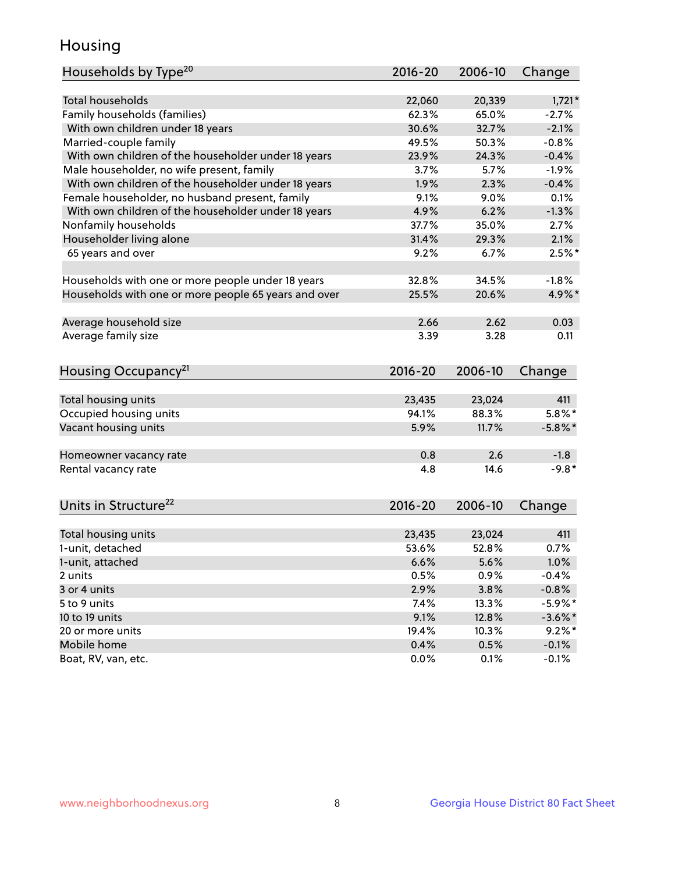## Housing

| Households by Type <sup>20</sup>                     | 2016-20     | 2006-10 | Change     |
|------------------------------------------------------|-------------|---------|------------|
|                                                      |             |         |            |
| <b>Total households</b>                              | 22,060      | 20,339  | $1,721*$   |
| Family households (families)                         | 62.3%       | 65.0%   | $-2.7%$    |
| With own children under 18 years                     | 30.6%       | 32.7%   | $-2.1%$    |
| Married-couple family                                | 49.5%       | 50.3%   | $-0.8%$    |
| With own children of the householder under 18 years  | 23.9%       | 24.3%   | $-0.4%$    |
| Male householder, no wife present, family            | 3.7%        | 5.7%    | $-1.9%$    |
| With own children of the householder under 18 years  | 1.9%        | 2.3%    | $-0.4%$    |
| Female householder, no husband present, family       | 9.1%        | 9.0%    | 0.1%       |
| With own children of the householder under 18 years  | 4.9%        | 6.2%    | $-1.3%$    |
| Nonfamily households                                 | 37.7%       | 35.0%   | 2.7%       |
| Householder living alone                             | 31.4%       | 29.3%   | 2.1%       |
| 65 years and over                                    | 9.2%        | 6.7%    | $2.5%$ *   |
|                                                      |             |         |            |
| Households with one or more people under 18 years    | 32.8%       | 34.5%   | $-1.8%$    |
| Households with one or more people 65 years and over | 25.5%       | 20.6%   | 4.9%*      |
|                                                      |             |         |            |
| Average household size                               | 2.66        | 2.62    | 0.03       |
| Average family size                                  | 3.39        | 3.28    | 0.11       |
|                                                      |             |         |            |
| Housing Occupancy <sup>21</sup>                      | $2016 - 20$ | 2006-10 | Change     |
|                                                      |             |         |            |
| Total housing units                                  | 23,435      | 23,024  | 411        |
| Occupied housing units                               | 94.1%       | 88.3%   | $5.8\%$ *  |
| Vacant housing units                                 | 5.9%        | 11.7%   | $-5.8\%$ * |
|                                                      |             |         |            |
| Homeowner vacancy rate                               | 0.8         | 2.6     | $-1.8$     |
| Rental vacancy rate                                  | 4.8         | 14.6    | $-9.8*$    |
|                                                      |             |         |            |
| Units in Structure <sup>22</sup>                     | $2016 - 20$ |         |            |
|                                                      |             | 2006-10 | Change     |
| Total housing units                                  | 23,435      | 23,024  | 411        |
| 1-unit, detached                                     | 53.6%       | 52.8%   | 0.7%       |
| 1-unit, attached                                     | 6.6%        | 5.6%    | 1.0%       |
| 2 units                                              | 0.5%        | 0.9%    | $-0.4%$    |
| 3 or 4 units                                         | 2.9%        | 3.8%    | $-0.8%$    |
| 5 to 9 units                                         | 7.4%        | 13.3%   | $-5.9\%$ * |
| 10 to 19 units                                       | 9.1%        | 12.8%   | $-3.6\%$ * |
| 20 or more units                                     | 19.4%       | 10.3%   | $9.2\%$ *  |
| Mobile home                                          | 0.4%        | 0.5%    | $-0.1%$    |
| Boat, RV, van, etc.                                  |             |         |            |
|                                                      | 0.0%        | 0.1%    | $-0.1%$    |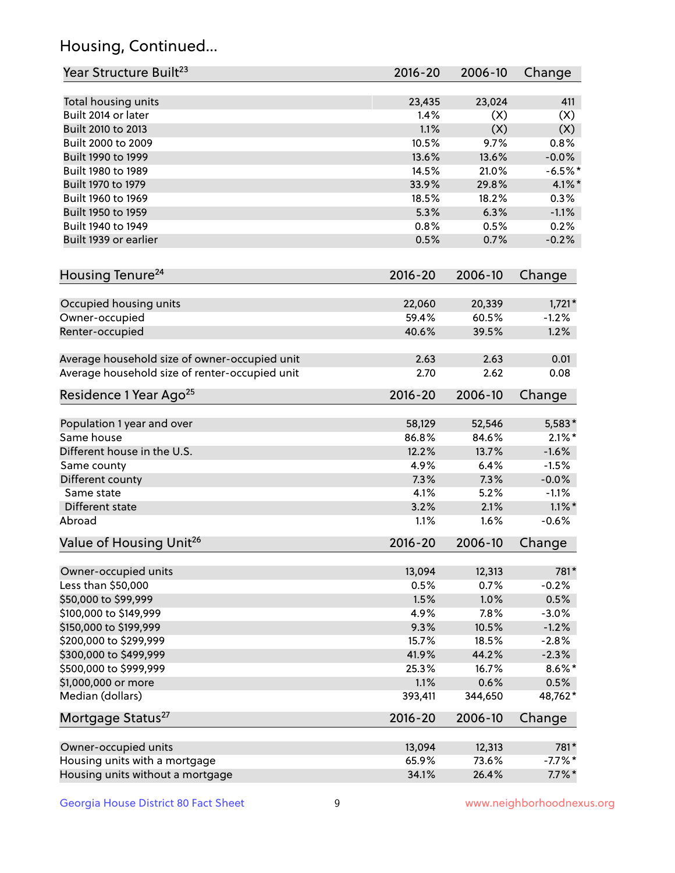## Housing, Continued...

| Year Structure Built <sup>23</sup>             | 2016-20     | 2006-10 | Change    |
|------------------------------------------------|-------------|---------|-----------|
| Total housing units                            | 23,435      | 23,024  | 411       |
| Built 2014 or later                            | 1.4%        | (X)     | (X)       |
| Built 2010 to 2013                             | 1.1%        | (X)     | (X)       |
| Built 2000 to 2009                             | 10.5%       | 9.7%    | 0.8%      |
| Built 1990 to 1999                             | 13.6%       | 13.6%   | $-0.0%$   |
| Built 1980 to 1989                             | 14.5%       | 21.0%   | $-6.5%$   |
| Built 1970 to 1979                             | 33.9%       | 29.8%   | $4.1\%$ * |
| Built 1960 to 1969                             | 18.5%       | 18.2%   | 0.3%      |
| Built 1950 to 1959                             | 5.3%        | 6.3%    | $-1.1%$   |
| Built 1940 to 1949                             | 0.8%        | 0.5%    | 0.2%      |
| Built 1939 or earlier                          | 0.5%        | 0.7%    | $-0.2%$   |
|                                                |             |         |           |
| Housing Tenure <sup>24</sup>                   | $2016 - 20$ | 2006-10 | Change    |
| Occupied housing units                         | 22,060      | 20,339  | $1,721*$  |
| Owner-occupied                                 | 59.4%       | 60.5%   | $-1.2%$   |
| Renter-occupied                                | 40.6%       | 39.5%   | 1.2%      |
|                                                |             |         |           |
| Average household size of owner-occupied unit  | 2.63        | 2.63    | 0.01      |
| Average household size of renter-occupied unit | 2.70        | 2.62    | 0.08      |
| Residence 1 Year Ago <sup>25</sup>             | $2016 - 20$ | 2006-10 | Change    |
| Population 1 year and over                     | 58,129      | 52,546  | 5,583*    |
| Same house                                     | 86.8%       | 84.6%   | $2.1\%$ * |
| Different house in the U.S.                    | 12.2%       | 13.7%   | $-1.6%$   |
| Same county                                    | 4.9%        | 6.4%    | $-1.5%$   |
| Different county                               | 7.3%        | 7.3%    | $-0.0%$   |
| Same state                                     | 4.1%        | 5.2%    | $-1.1%$   |
| Different state                                | 3.2%        | 2.1%    | $1.1\%$ * |
| Abroad                                         | 1.1%        | 1.6%    | $-0.6%$   |
| Value of Housing Unit <sup>26</sup>            | $2016 - 20$ | 2006-10 | Change    |
|                                                |             |         |           |
| Owner-occupied units                           | 13,094      | 12,313  | 781*      |
| Less than \$50,000                             | 0.5%        | 0.7%    | $-0.2%$   |
| \$50,000 to \$99,999                           | 1.5%        | 1.0%    | 0.5%      |
| \$100,000 to \$149,999                         | 4.9%        | 7.8%    | $-3.0%$   |
| \$150,000 to \$199,999                         | 9.3%        | 10.5%   | $-1.2%$   |
| \$200,000 to \$299,999                         | 15.7%       | 18.5%   | $-2.8%$   |
| \$300,000 to \$499,999                         | 41.9%       | 44.2%   | $-2.3%$   |
| \$500,000 to \$999,999                         | 25.3%       | 16.7%   | $8.6\%$ * |
| \$1,000,000 or more                            | 1.1%        | 0.6%    | 0.5%      |
| Median (dollars)                               | 393,411     | 344,650 | 48,762*   |
| Mortgage Status <sup>27</sup>                  | $2016 - 20$ | 2006-10 | Change    |
| Owner-occupied units                           | 13,094      | 12,313  | 781*      |
| Housing units with a mortgage                  | 65.9%       | 73.6%   | $-7.7%$ * |
| Housing units without a mortgage               | 34.1%       | 26.4%   | $7.7\%$ * |
|                                                |             |         |           |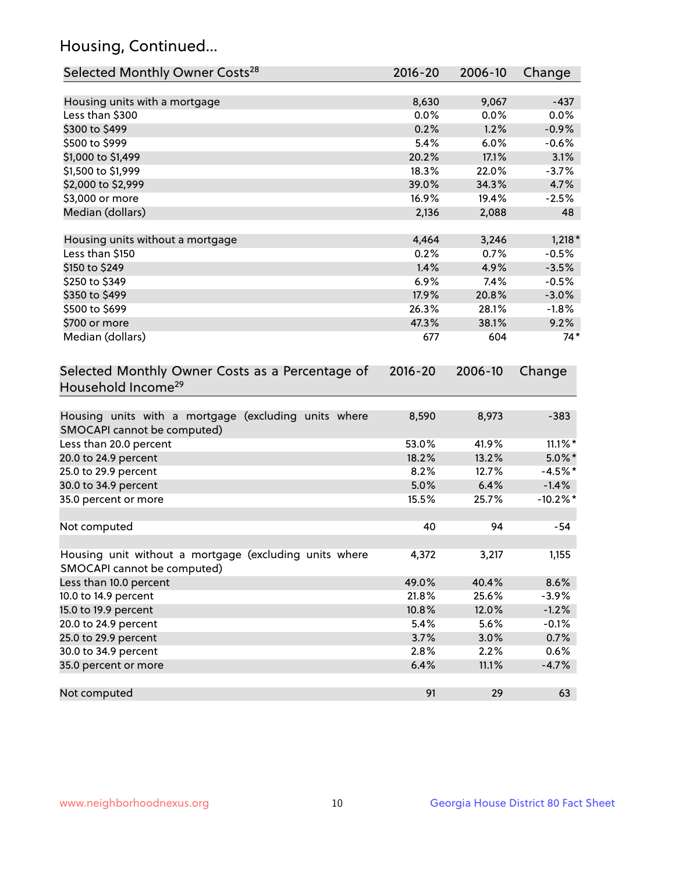## Housing, Continued...

| Selected Monthly Owner Costs <sup>28</sup>                                            | 2016-20     | 2006-10       | Change      |
|---------------------------------------------------------------------------------------|-------------|---------------|-------------|
| Housing units with a mortgage                                                         | 8,630       | 9,067         | $-437$      |
| Less than \$300                                                                       | 0.0%        | 0.0%          | 0.0%        |
| \$300 to \$499                                                                        | 0.2%        | 1.2%          | $-0.9%$     |
| \$500 to \$999                                                                        | 5.4%        | 6.0%          | $-0.6%$     |
| \$1,000 to \$1,499                                                                    | 20.2%       | 17.1%         | 3.1%        |
| \$1,500 to \$1,999                                                                    | 18.3%       | 22.0%         | $-3.7%$     |
| \$2,000 to \$2,999                                                                    | 39.0%       | 34.3%         | 4.7%        |
| \$3,000 or more                                                                       | 16.9%       | 19.4%         | $-2.5%$     |
| Median (dollars)                                                                      | 2,136       | 2,088         | 48          |
| Housing units without a mortgage                                                      | 4,464       |               | $1,218*$    |
| Less than \$150                                                                       | 0.2%        | 3,246<br>0.7% | $-0.5%$     |
| \$150 to \$249                                                                        | 1.4%        | 4.9%          | $-3.5%$     |
| \$250 to \$349                                                                        | 6.9%        | 7.4%          | $-0.5%$     |
| \$350 to \$499                                                                        | 17.9%       | 20.8%         | $-3.0%$     |
| \$500 to \$699                                                                        | 26.3%       | 28.1%         | $-1.8%$     |
| \$700 or more                                                                         | 47.3%       | 38.1%         | 9.2%        |
| Median (dollars)                                                                      | 677         | 604           | $74*$       |
|                                                                                       |             |               |             |
| Selected Monthly Owner Costs as a Percentage of<br>Household Income <sup>29</sup>     | $2016 - 20$ | 2006-10       | Change      |
| Housing units with a mortgage (excluding units where<br>SMOCAPI cannot be computed)   | 8,590       | 8,973         | $-383$      |
| Less than 20.0 percent                                                                | 53.0%       | 41.9%         | $11.1\%$ *  |
| 20.0 to 24.9 percent                                                                  | 18.2%       | 13.2%         | $5.0\%$ *   |
| 25.0 to 29.9 percent                                                                  | 8.2%        | 12.7%         | $-4.5%$ *   |
| 30.0 to 34.9 percent                                                                  | 5.0%        | 6.4%          | $-1.4%$     |
| 35.0 percent or more                                                                  | 15.5%       | 25.7%         | $-10.2\%$ * |
| Not computed                                                                          | 40          | 94            | $-54$       |
| Housing unit without a mortgage (excluding units where<br>SMOCAPI cannot be computed) | 4,372       | 3,217         | 1,155       |
| Less than 10.0 percent                                                                | 49.0%       | 40.4%         | 8.6%        |
| 10.0 to 14.9 percent                                                                  | 21.8%       | 25.6%         | $-3.9%$     |
| 15.0 to 19.9 percent                                                                  | 10.8%       | 12.0%         | $-1.2%$     |
| 20.0 to 24.9 percent                                                                  | 5.4%        | 5.6%          | $-0.1%$     |
| 25.0 to 29.9 percent                                                                  | 3.7%        | 3.0%          | 0.7%        |
| 30.0 to 34.9 percent                                                                  | 2.8%        | 2.2%          | 0.6%        |
| 35.0 percent or more                                                                  | 6.4%        | 11.1%         | $-4.7%$     |
| Not computed                                                                          | 91          | 29            | 63          |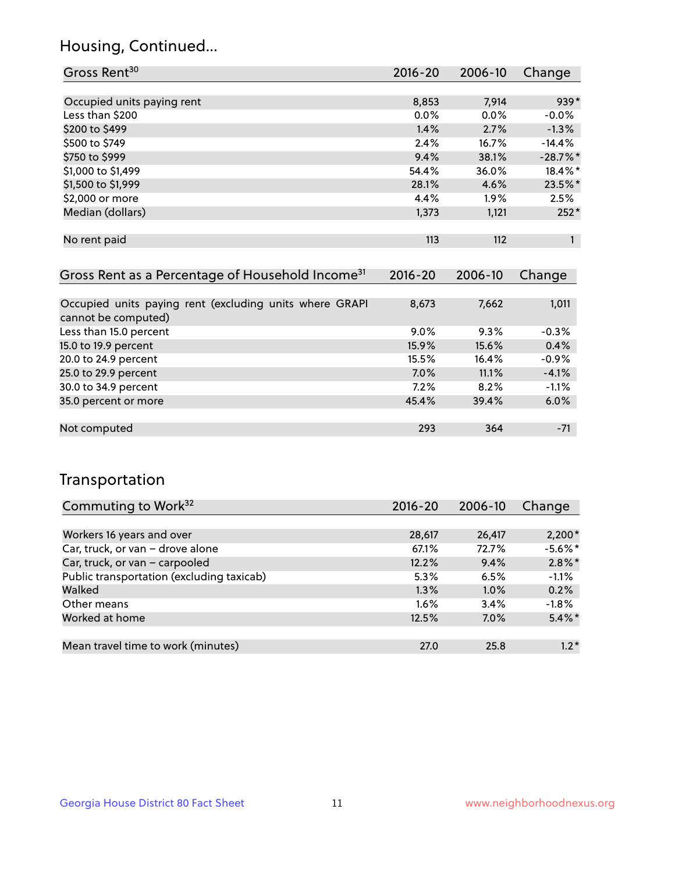## Housing, Continued...

| Gross Rent <sup>30</sup>   | 2016-20 | 2006-10 | Change     |
|----------------------------|---------|---------|------------|
|                            |         |         |            |
| Occupied units paying rent | 8,853   | 7,914   | 939*       |
| Less than \$200            | $0.0\%$ | 0.0%    | $-0.0%$    |
| \$200 to \$499             | 1.4%    | 2.7%    | $-1.3%$    |
| \$500 to \$749             | 2.4%    | 16.7%   | $-14.4%$   |
| \$750 to \$999             | 9.4%    | 38.1%   | $-28.7%$ * |
| \$1,000 to \$1,499         | 54.4%   | 36.0%   | $18.4\%$ * |
| \$1,500 to \$1,999         | 28.1%   | 4.6%    | 23.5%*     |
| \$2,000 or more            | 4.4%    | $1.9\%$ | 2.5%       |
| Median (dollars)           | 1,373   | 1,121   | $252*$     |
|                            |         |         |            |
| No rent paid               | 113     | 112     |            |

| Gross Rent as a Percentage of Household Income <sup>31</sup>                   | $2016 - 20$ | 2006-10 | Change  |
|--------------------------------------------------------------------------------|-------------|---------|---------|
|                                                                                |             |         |         |
| Occupied units paying rent (excluding units where GRAPI<br>cannot be computed) | 8,673       | 7,662   | 1,011   |
| Less than 15.0 percent                                                         | $9.0\%$     | 9.3%    | $-0.3%$ |
| 15.0 to 19.9 percent                                                           | 15.9%       | 15.6%   | 0.4%    |
| 20.0 to 24.9 percent                                                           | 15.5%       | 16.4%   | $-0.9%$ |
| 25.0 to 29.9 percent                                                           | 7.0%        | 11.1%   | $-4.1%$ |
| 30.0 to 34.9 percent                                                           | 7.2%        | 8.2%    | $-1.1%$ |
| 35.0 percent or more                                                           | 45.4%       | 39.4%   | 6.0%    |
|                                                                                |             |         |         |
| Not computed                                                                   | 293         | 364     | $-71$   |

## Transportation

| Commuting to Work <sup>32</sup>           | 2016-20 | 2006-10 | Change     |
|-------------------------------------------|---------|---------|------------|
|                                           |         |         |            |
| Workers 16 years and over                 | 28,617  | 26,417  | $2,200*$   |
| Car, truck, or van - drove alone          | 67.1%   | 72.7%   | $-5.6\%$ * |
| Car, truck, or van - carpooled            | 12.2%   | 9.4%    | $2.8\%$ *  |
| Public transportation (excluding taxicab) | 5.3%    | 6.5%    | $-1.1%$    |
| Walked                                    | 1.3%    | 1.0%    | 0.2%       |
| Other means                               | $1.6\%$ | 3.4%    | $-1.8%$    |
| Worked at home                            | 12.5%   | 7.0%    | $5.4\%$ *  |
|                                           |         |         |            |
| Mean travel time to work (minutes)        | 27.0    | 25.8    | $1.2*$     |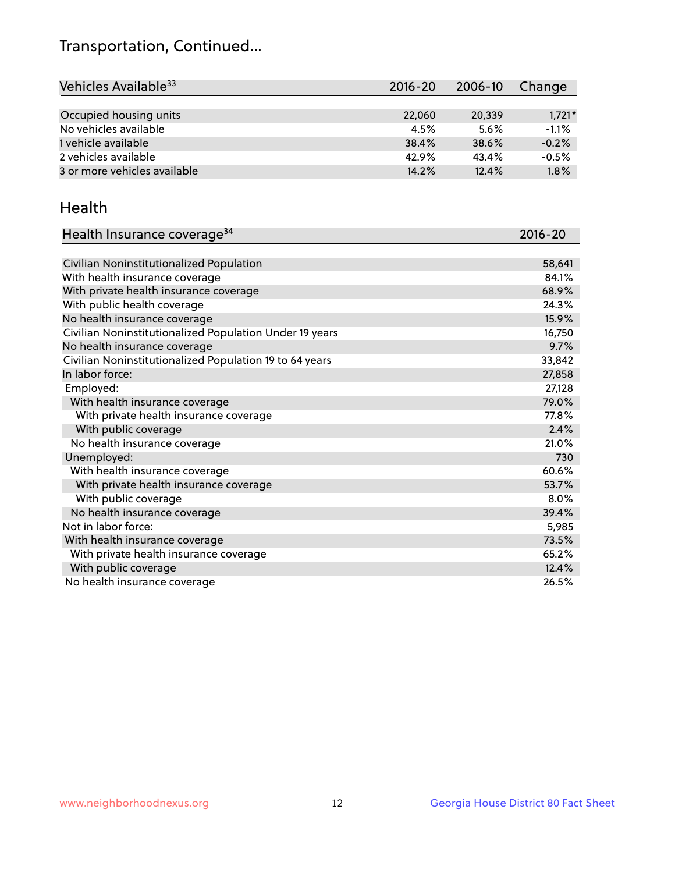## Transportation, Continued...

| Vehicles Available <sup>33</sup> | 2016-20 | 2006-10 | Change   |
|----------------------------------|---------|---------|----------|
|                                  |         |         |          |
| Occupied housing units           | 22,060  | 20,339  | $1,721*$ |
| No vehicles available            | 4.5%    | 5.6%    | $-1.1%$  |
| 1 vehicle available              | 38.4%   | 38.6%   | $-0.2%$  |
| 2 vehicles available             | 42.9%   | 43.4%   | $-0.5%$  |
| 3 or more vehicles available     | 14.2%   | 12.4%   | 1.8%     |

#### Health

| Health Insurance coverage <sup>34</sup>                 | 2016-20 |
|---------------------------------------------------------|---------|
|                                                         |         |
| Civilian Noninstitutionalized Population                | 58,641  |
| With health insurance coverage                          | 84.1%   |
| With private health insurance coverage                  | 68.9%   |
| With public health coverage                             | 24.3%   |
| No health insurance coverage                            | 15.9%   |
| Civilian Noninstitutionalized Population Under 19 years | 16,750  |
| No health insurance coverage                            | 9.7%    |
| Civilian Noninstitutionalized Population 19 to 64 years | 33,842  |
| In labor force:                                         | 27,858  |
| Employed:                                               | 27,128  |
| With health insurance coverage                          | 79.0%   |
| With private health insurance coverage                  | 77.8%   |
| With public coverage                                    | 2.4%    |
| No health insurance coverage                            | 21.0%   |
| Unemployed:                                             | 730     |
| With health insurance coverage                          | 60.6%   |
| With private health insurance coverage                  | 53.7%   |
| With public coverage                                    | 8.0%    |
| No health insurance coverage                            | 39.4%   |
| Not in labor force:                                     | 5,985   |
| With health insurance coverage                          | 73.5%   |
| With private health insurance coverage                  | 65.2%   |
| With public coverage                                    | 12.4%   |
| No health insurance coverage                            | 26.5%   |